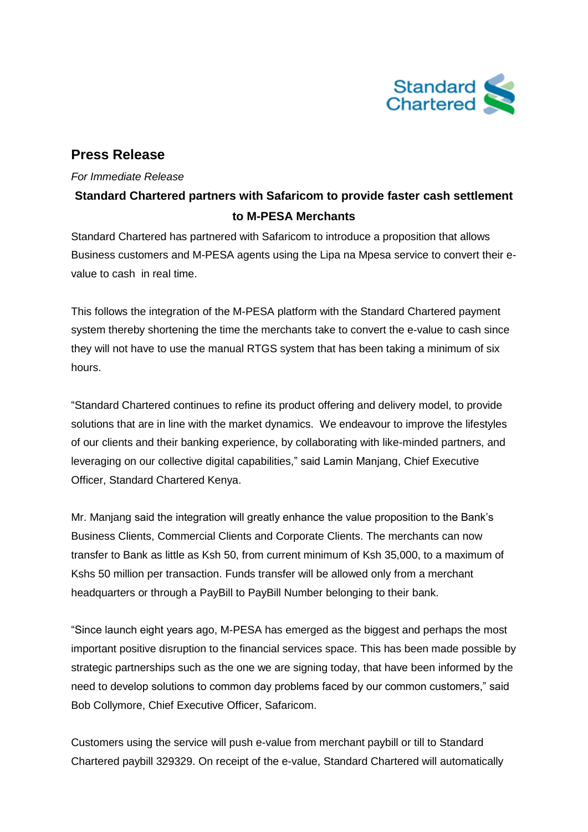

## **Press Release**

## *For Immediate Release*

# **Standard Chartered partners with Safaricom to provide faster cash settlement to M-PESA Merchants**

Standard Chartered has partnered with Safaricom to introduce a proposition that allows Business customers and M-PESA agents using the Lipa na Mpesa service to convert their evalue to cash in real time.

This follows the integration of the M-PESA platform with the Standard Chartered payment system thereby shortening the time the merchants take to convert the e-value to cash since they will not have to use the manual RTGS system that has been taking a minimum of six hours.

"Standard Chartered continues to refine its product offering and delivery model, to provide solutions that are in line with the market dynamics. We endeavour to improve the lifestyles of our clients and their banking experience, by collaborating with like-minded partners, and leveraging on our collective digital capabilities," said Lamin Manjang, Chief Executive Officer, Standard Chartered Kenya.

Mr. Manjang said the integration will greatly enhance the value proposition to the Bank's Business Clients, Commercial Clients and Corporate Clients. The merchants can now transfer to Bank as little as Ksh 50, from current minimum of Ksh 35,000, to a maximum of Kshs 50 million per transaction. Funds transfer will be allowed only from a merchant headquarters or through a PayBill to PayBill Number belonging to their bank.

"Since launch eight years ago, M-PESA has emerged as the biggest and perhaps the most important positive disruption to the financial services space. This has been made possible by strategic partnerships such as the one we are signing today, that have been informed by the need to develop solutions to common day problems faced by our common customers," said Bob Collymore, Chief Executive Officer, Safaricom.

Customers using the service will push e-value from merchant paybill or till to Standard Chartered paybill 329329. On receipt of the e-value, Standard Chartered will automatically